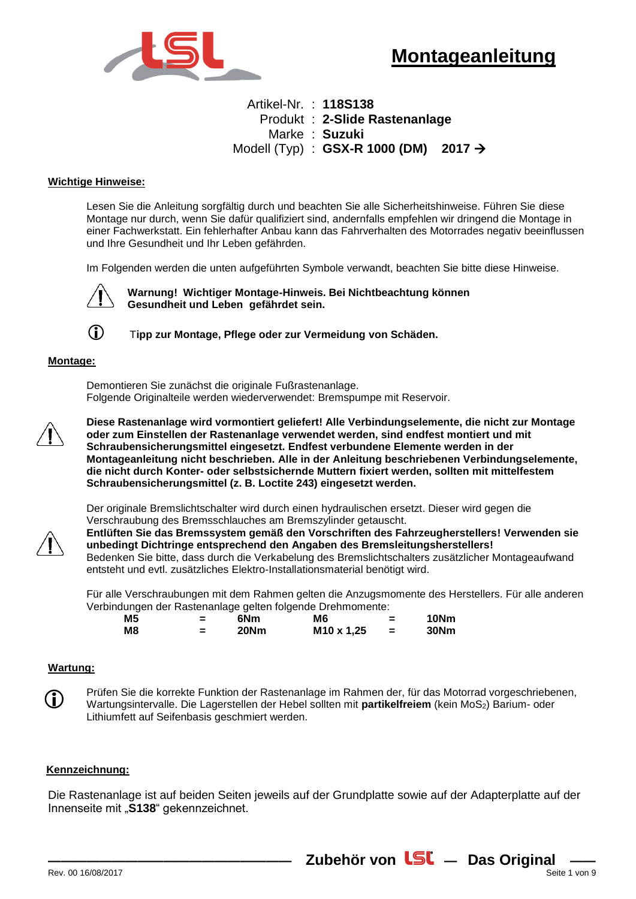

# Artikel-Nr. : **118S138** Produkt : **2-Slide Rastenanlage** Marke : **Suzuki** Modell (Typ) : **GSX-R 1000 (DM) 2017**

### **Wichtige Hinweise:**

Lesen Sie die Anleitung sorgfältig durch und beachten Sie alle Sicherheitshinweise. Führen Sie diese Montage nur durch, wenn Sie dafür qualifiziert sind, andernfalls empfehlen wir dringend die Montage in einer Fachwerkstatt. Ein fehlerhafter Anbau kann das Fahrverhalten des Motorrades negativ beeinflussen und Ihre Gesundheit und Ihr Leben gefährden.

Im Folgenden werden die unten aufgeführten Symbole verwandt, beachten Sie bitte diese Hinweise.



 **Warnung! Wichtiger Montage-Hinweis. Bei Nichtbeachtung können Gesundheit und Leben gefährdet sein.**



T**ipp zur Montage, Pflege oder zur Vermeidung von Schäden.**

#### **Montage:**

Demontieren Sie zunächst die originale Fußrastenanlage. Folgende Originalteile werden wiederverwendet: Bremspumpe mit Reservoir.



**Diese Rastenanlage wird vormontiert geliefert! Alle Verbindungselemente, die nicht zur Montage oder zum Einstellen der Rastenanlage verwendet werden, sind endfest montiert und mit Schraubensicherungsmittel eingesetzt. Endfest verbundene Elemente werden in der Montageanleitung nicht beschrieben. Alle in der Anleitung beschriebenen Verbindungselemente, die nicht durch Konter- oder selbstsichernde Muttern fixiert werden, sollten mit mittelfestem Schraubensicherungsmittel (z. B. Loctite 243) eingesetzt werden.**

Der originale Bremslichtschalter wird durch einen hydraulischen ersetzt. Dieser wird gegen die Verschraubung des Bremsschlauches am Bremszylinder getauscht.



**Entlüften Sie das Bremssystem gemäß den Vorschriften des Fahrzeugherstellers! Verwenden sie unbedingt Dichtringe entsprechend den Angaben des Bremsleitungsherstellers!**  Bedenken Sie bitte, dass durch die Verkabelung des Bremslichtschalters zusätzlicher Montageaufwand entsteht und evtl. zusätzliches Elektro-Installationsmaterial benötigt wird.

Für alle Verschraubungen mit dem Rahmen gelten die Anzugsmomente des Herstellers. Für alle anderen Verbindungen der Rastenanlage gelten folgende Drehmomente:

| M5 |   | 6Nm  | M6                     | 10Nm |
|----|---|------|------------------------|------|
| M8 | = | 20Nm | M <sub>10</sub> x 1,25 | 30Nm |

#### **Wartung:**



Prüfen Sie die korrekte Funktion der Rastenanlage im Rahmen der, für das Motorrad vorgeschriebenen, Wartungsintervalle. Die Lagerstellen der Hebel sollten mit partikelfreiem (kein MoS<sub>2</sub>) Barium- oder Lithiumfett auf Seifenbasis geschmiert werden.

#### **Kennzeichnung:**

Die Rastenanlage ist auf beiden Seiten jeweils auf der Grundplatte sowie auf der Adapterplatte auf der Innenseite mit "**S138**" gekennzeichnet.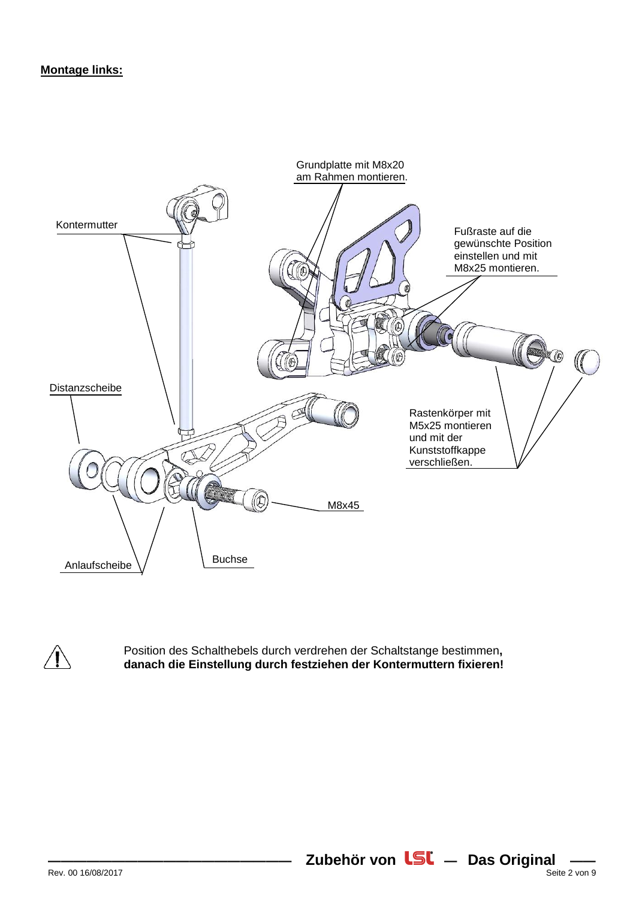# **Montage links:**



Position des Schalthebels durch verdrehen der Schaltstange bestimmen**, danach die Einstellung durch festziehen der Kontermuttern fixieren!**

**Zubehör von LSL** - Das Original -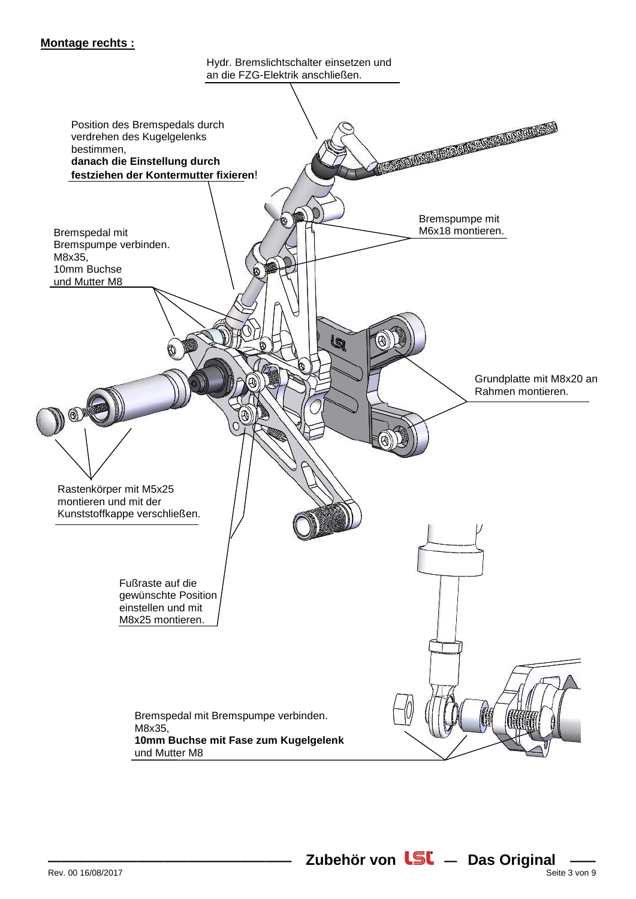## **Montage rechts :**

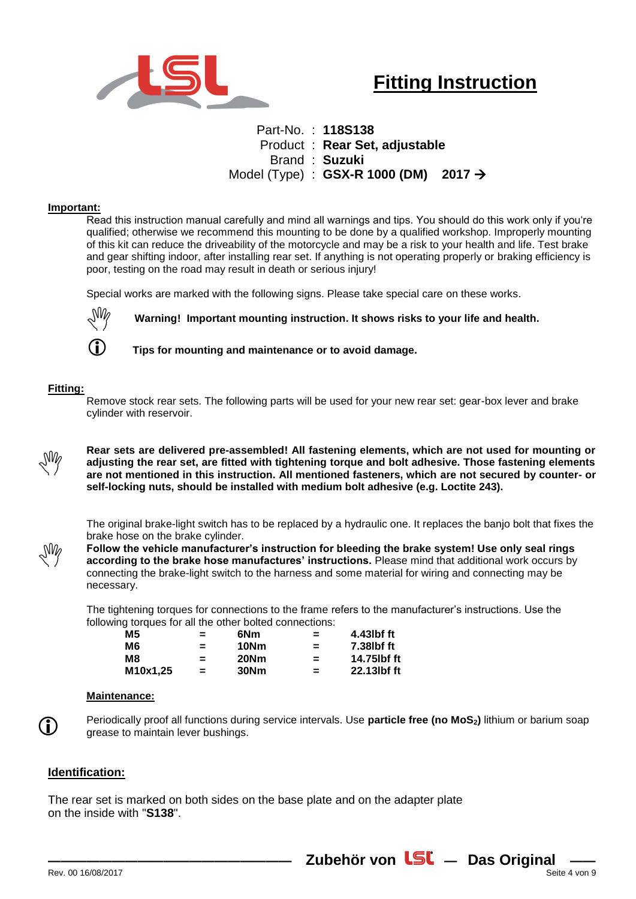

# Part-No. : **118S138** Product : **Rear Set, adjustable** Brand : **Suzuki** Model (Type) : **GSX-R 1000 (DM) 2017**

#### **Important:**

Read this instruction manual carefully and mind all warnings and tips. You should do this work only if you're qualified; otherwise we recommend this mounting to be done by a qualified workshop. Improperly mounting of this kit can reduce the driveability of the motorcycle and may be a risk to your health and life. Test brake and gear shifting indoor, after installing rear set. If anything is not operating properly or braking efficiency is poor, testing on the road may result in death or serious injury!

Special works are marked with the following signs. Please take special care on these works.



**Warning! Important mounting instruction. It shows risks to your life and health.**

**Tips for mounting and maintenance or to avoid damage.** 

#### **Fitting:**

Remove stock rear sets. The following parts will be used for your new rear set: gear-box lever and brake cylinder with reservoir.



**Rear sets are delivered pre-assembled! All fastening elements, which are not used for mounting or adjusting the rear set, are fitted with tightening torque and bolt adhesive. Those fastening elements are not mentioned in this instruction. All mentioned fasteners, which are not secured by counter- or self-locking nuts, should be installed with medium bolt adhesive (e.g. Loctite 243).**

The original brake-light switch has to be replaced by a hydraulic one. It replaces the banjo bolt that fixes the brake hose on the brake cylinder.



**Follow the vehicle manufacturer's instruction for bleeding the brake system! Use only seal rings according to the brake hose manufactures' instructions.** Please mind that additional work occurs by connecting the brake-light switch to the harness and some material for wiring and connecting may be necessary.

The tightening torques for connections to the frame refers to the manufacturer's instructions. Use the following torques for all the other bolted connections:

| = | 6Nm  | $=$ | 4.43lbf ft  |
|---|------|-----|-------------|
| = | 10Nm | =   | 7.38lbf ft  |
| = | 20Nm | =   | 14.75lbf ft |
| = | 30Nm | =   | 22.13lbf ft |
|   |      |     |             |

#### **Maintenance:**



Periodically proof all functions during service intervals. Use **particle free (no MoS2)** lithium or barium soap grease to maintain lever bushings.

### **Identification:**

The rear set is marked on both sides on the base plate and on the adapter plate on the inside with "**S138**".

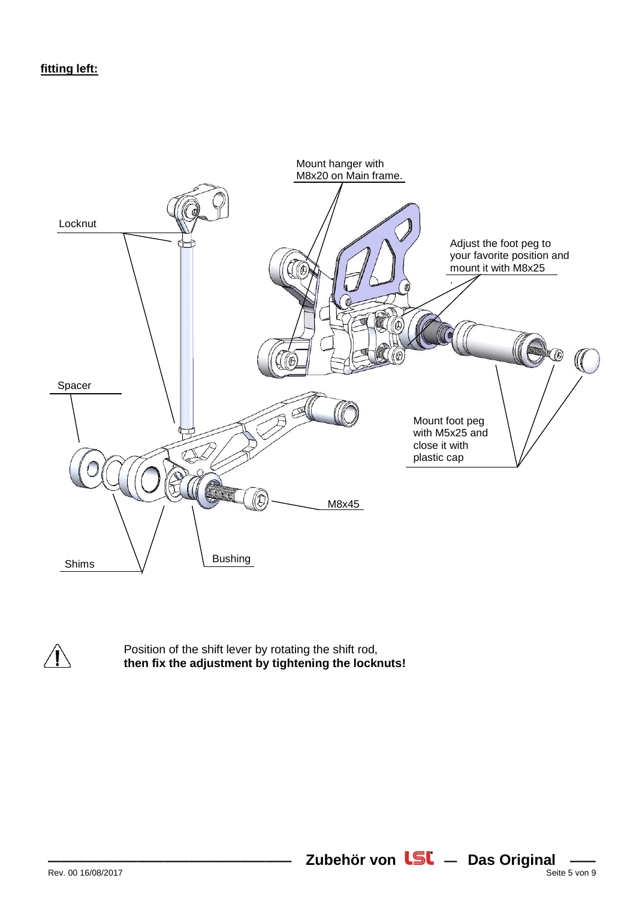



Position of the shift lever by rotating the shift rod, **then fix the adjustment by tightening the locknuts!**

**Zubehör von LSL** - Das Original -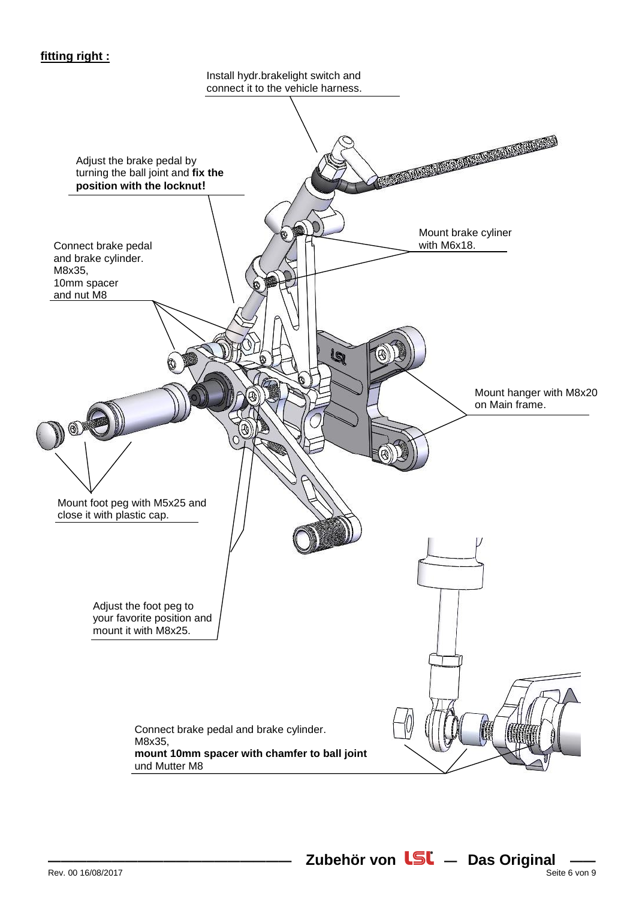# **fitting right :**

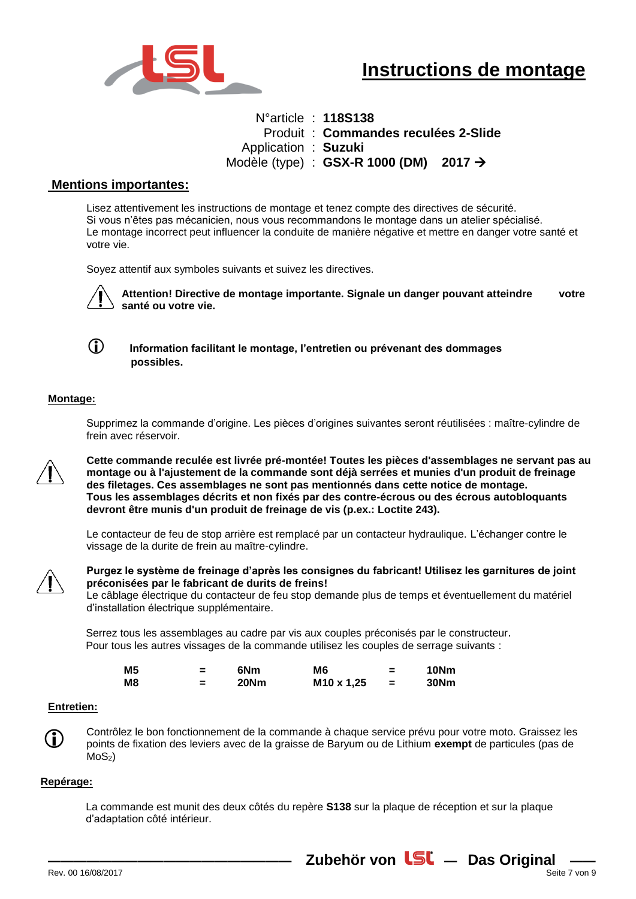

N°article : **118S138** Produit : **Commandes reculées 2-Slide**  Application : **Suzuki** Modèle (type) : **GSX-R 1000 (DM) 2017** 

## **Mentions importantes:**

Lisez attentivement les instructions de montage et tenez compte des directives de sécurité. Si vous n'êtes pas mécanicien, nous vous recommandons le montage dans un atelier spécialisé. Le montage incorrect peut influencer la conduite de manière négative et mettre en danger votre santé et votre vie.

Soyez attentif aux symboles suivants et suivez les directives.



 **Attention! Directive de montage importante. Signale un danger pouvant atteindre votre santé ou votre vie.**

 **Information facilitant le montage, l'entretien ou prévenant des dommages possibles.**

### **Montage:**

Supprimez la commande d'origine. Les pièces d'origines suivantes seront réutilisées : maître-cylindre de frein avec réservoir.



**Cette commande reculée est livrée pré-montée! Toutes les pièces d'assemblages ne servant pas au montage ou à l'ajustement de la commande sont déjà serrées et munies d'un produit de freinage des filetages. Ces assemblages ne sont pas mentionnés dans cette notice de montage. Tous les assemblages décrits et non fixés par des contre-écrous ou des écrous autobloquants devront être munis d'un produit de freinage de vis (p.ex.: Loctite 243).**

Le contacteur de feu de stop arrière est remplacé par un contacteur hydraulique. L'échanger contre le vissage de la durite de frein au maître-cylindre.



**Purgez le système de freinage d'après les consignes du fabricant! Utilisez les garnitures de joint préconisées par le fabricant de durits de freins!** 

Le câblage électrique du contacteur de feu stop demande plus de temps et éventuellement du matériel d'installation électrique supplémentaire.

Serrez tous les assemblages au cadre par vis aux couples préconisés par le constructeur. Pour tous les autres vissages de la commande utilisez les couples de serrage suivants :

| <b>M5</b> | $\overline{\phantom{a}}$ | 6N <sub>m</sub> | M6                     | 10Nm |
|-----------|--------------------------|-----------------|------------------------|------|
| M8        | -                        | <b>20Nm</b>     | M <sub>10</sub> x 1,25 | 30Nm |

#### **Entretien:**

Contrôlez le bon fonctionnement de la commande à chaque service prévu pour votre moto. Graissez les points de fixation des leviers avec de la graisse de Baryum ou de Lithium **exempt** de particules (pas de  $MOS<sub>2</sub>$ )

#### **Repérage:**

(i)

La commande est munit des deux côtés du repère **S138** sur la plaque de réception et sur la plaque d'adaptation côté intérieur.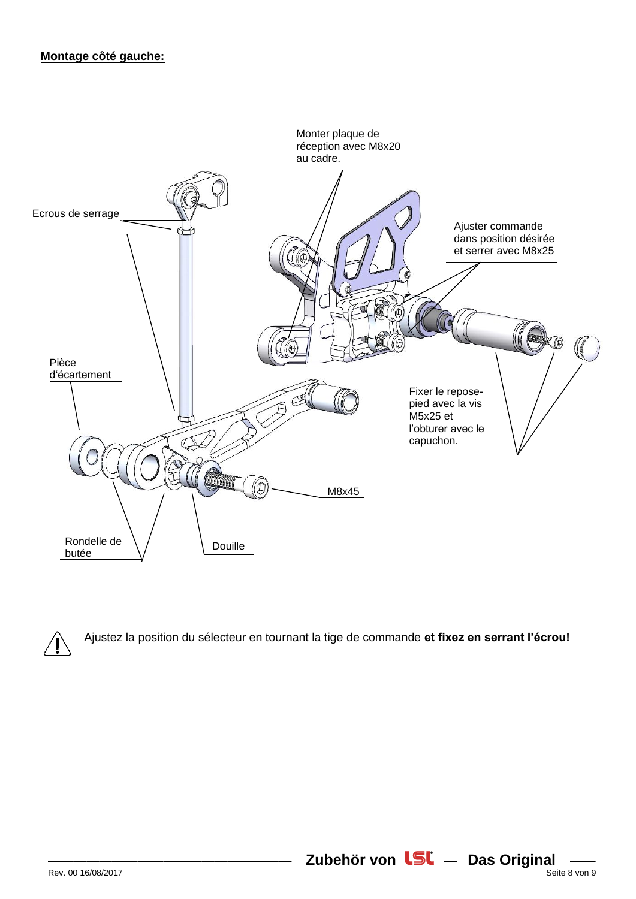



Ajustez la position du sélecteur en tournant la tige de commande **et fixez en serrant l'écrou!**

**Zubehör von LSL** - Das Original  $\frac{1}{\text{Set}}$